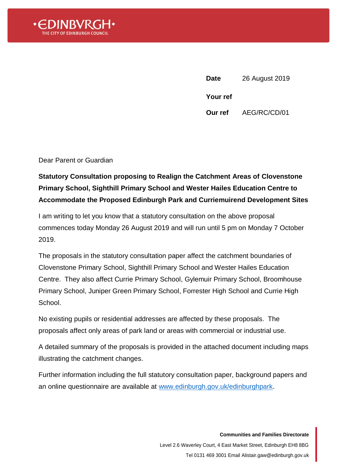

**Date** 26 August 2019 **Your ref Our ref** AEG/RC/CD/01

Dear Parent or Guardian

## **Statutory Consultation proposing to Realign the Catchment Areas of Clovenstone Primary School, Sighthill Primary School and Wester Hailes Education Centre to Accommodate the Proposed Edinburgh Park and Curriemuirend Development Sites**

I am writing to let you know that a statutory consultation on the above proposal commences today Monday 26 August 2019 and will run until 5 pm on Monday 7 October 2019.

The proposals in the statutory consultation paper affect the catchment boundaries of Clovenstone Primary School, Sighthill Primary School and Wester Hailes Education Centre. They also affect Currie Primary School, Gylemuir Primary School, Broomhouse Primary School, Juniper Green Primary School, Forrester High School and Currie High School.

No existing pupils or residential addresses are affected by these proposals. The proposals affect only areas of park land or areas with commercial or industrial use.

A detailed summary of the proposals is provided in the attached document including maps illustrating the catchment changes.

Further information including the full statutory consultation paper, background papers and an online questionnaire are available at [www.edinburgh.gov.uk/edinburghpark.](www.edinburgh.gov.uk/edinburghpark)